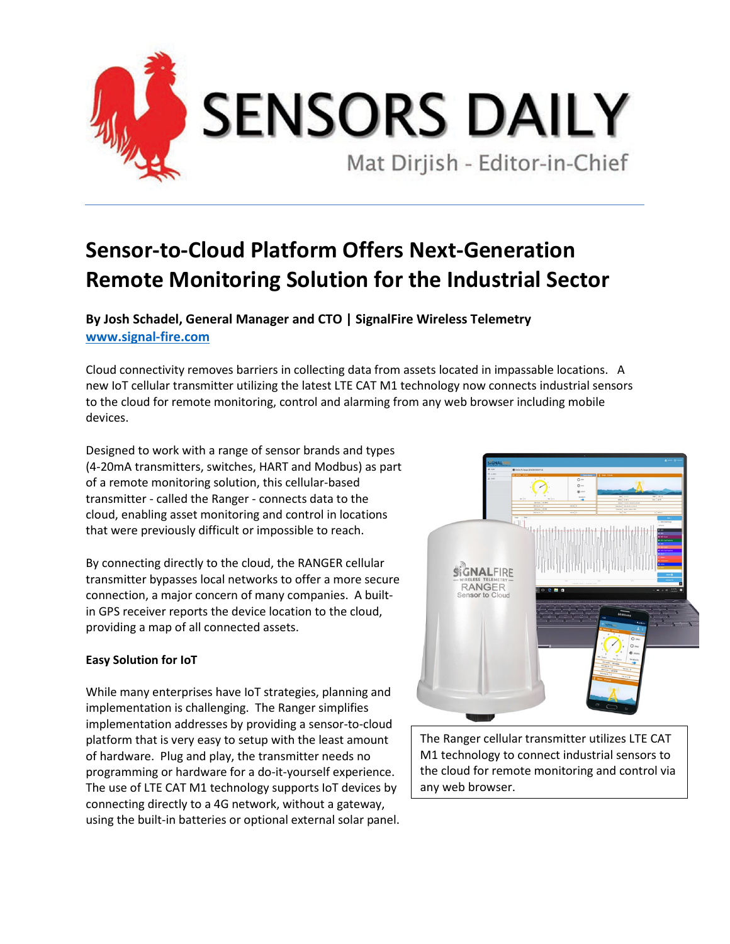

## **Sensor-to-Cloud Platform Offers Next-Generation Remote Monitoring Solution for the Industrial Sector**

**By Josh Schadel, General Manager and CTO | SignalFire Wireless Telemetry [www.signal-fire.com](http://www.signal-fire.com/)**

Cloud connectivity removes barriers in collecting data from assets located in impassable locations. A new IoT cellular transmitter utilizing the latest LTE CAT M1 technology now connects industrial sensors to the cloud for remote monitoring, control and alarming from any web browser including mobile devices.

Designed to work with a range of sensor brands and types (4-20mA transmitters, switches, HART and Modbus) as part of a remote monitoring solution, this cellular-based transmitter - called the Ranger - connects data to the cloud, enabling asset monitoring and control in locations that were previously difficult or impossible to reach.

By connecting directly to the cloud, the RANGER cellular transmitter bypasses local networks to offer a more secure connection, a major concern of many companies. A builtin GPS receiver reports the device location to the cloud, providing a map of all connected assets.

## **Easy Solution for IoT**

While many enterprises have IoT strategies, planning and implementation is challenging. The Ranger simplifies implementation addresses by providing a sensor-to-cloud platform that is very easy to setup with the least amount of hardware. Plug and play, the transmitter needs no programming or hardware for a do-it-yourself experience. The use of LTE CAT M1 technology supports IoT devices by connecting directly to a 4G network, without a gateway, using the built-in batteries or optional external solar panel.



The Ranger cellular transmitter utilizes LTE CAT M1 technology to connect industrial sensors to the cloud for remote monitoring and control via any web browser.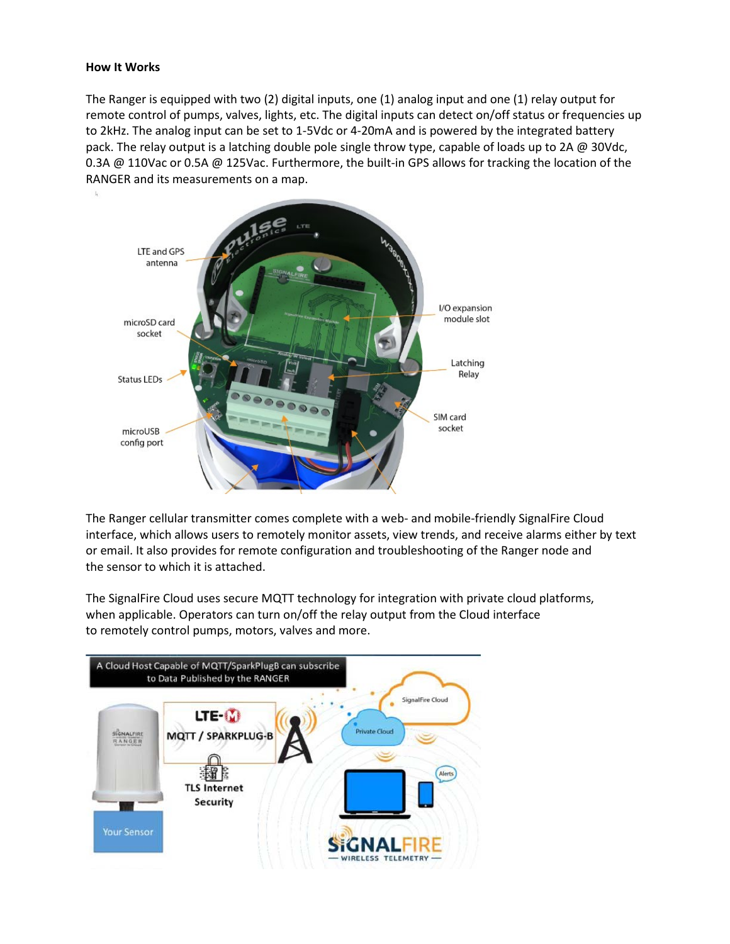## **How It Works**

The Ranger is equipped with two (2) digital inputs, one (1) analog input and one (1) relay output for remote control of pumps, valves, lights, etc. The digital inputs can detect on/off status or frequencies up to 2kHz. The analog input can be set to 1-5Vdc or 4-20mA and is powered by the integrated battery pack. The relay output is a latching double pole single throw type, capable of loads up to 2A  $\omega$  30Vdc, 0.3A @ 110Vac or 0.5A @ 125Vac. Furthermore, the built-in GPS allows for tracking the location of the RANGER and its measurements on a map.



The Ranger cellular transmitter comes complete with a web- and mobile-friendly SignalFire Cloud interface, which allows users to remotely monitor assets, view trends, and receive alarms either by text or email. It also provides for remote configuration and troubleshooting of the Ranger node and the sensor to which it is attached.

The SignalFire Cloud uses secure MQTT technology for integration with private cloud platforms, when applicable. Operators can turn on/off the relay output from the Cloud interface to remotely control pumps, motors, valves and more.